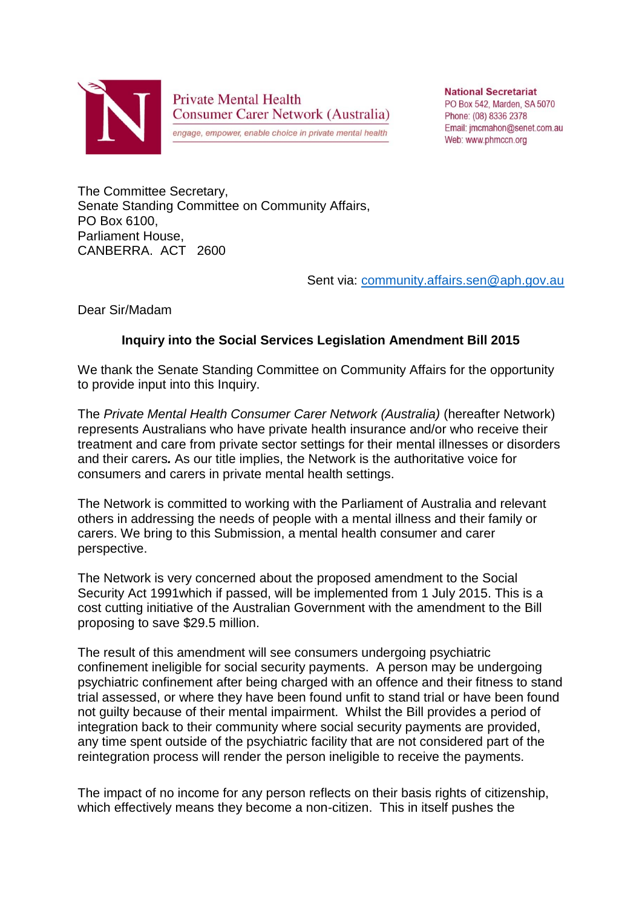

**Private Mental Health Consumer Carer Network (Australia)** 

engage, empower, enable choice in private mental health

**National Secretariat** PO Box 542, Marden, SA 5070 Phone: (08) 8336 2378 Email: imcmahon@senet.com.au Web: www.phmccn.org

The Committee Secretary, Senate Standing Committee on Community Affairs, PO Box 6100, Parliament House, CANBERRA. ACT 2600

Sent via: [community.affairs.sen@aph.gov.au](mailto:community.affairs.sen@aph.gov.au)

Dear Sir/Madam

## **Inquiry into the Social Services Legislation Amendment Bill 2015**

We thank the Senate Standing Committee on Community Affairs for the opportunity to provide input into this Inquiry.

The *Private Mental Health Consumer Carer Network (Australia)* (hereafter Network) represents Australians who have private health insurance and/or who receive their treatment and care from private sector settings for their mental illnesses or disorders and their carers*.* As our title implies, the Network is the authoritative voice for consumers and carers in private mental health settings.

The Network is committed to working with the Parliament of Australia and relevant others in addressing the needs of people with a mental illness and their family or carers. We bring to this Submission, a mental health consumer and carer perspective.

The Network is very concerned about the proposed amendment to the Social Security Act 1991which if passed, will be implemented from 1 July 2015. This is a cost cutting initiative of the Australian Government with the amendment to the Bill proposing to save \$29.5 million.

The result of this amendment will see consumers undergoing psychiatric confinement ineligible for social security payments. A person may be undergoing psychiatric confinement after being charged with an offence and their fitness to stand trial assessed, or where they have been found unfit to stand trial or have been found not guilty because of their mental impairment. Whilst the Bill provides a period of integration back to their community where social security payments are provided, any time spent outside of the psychiatric facility that are not considered part of the reintegration process will render the person ineligible to receive the payments.

The impact of no income for any person reflects on their basis rights of citizenship, which effectively means they become a non-citizen. This in itself pushes the